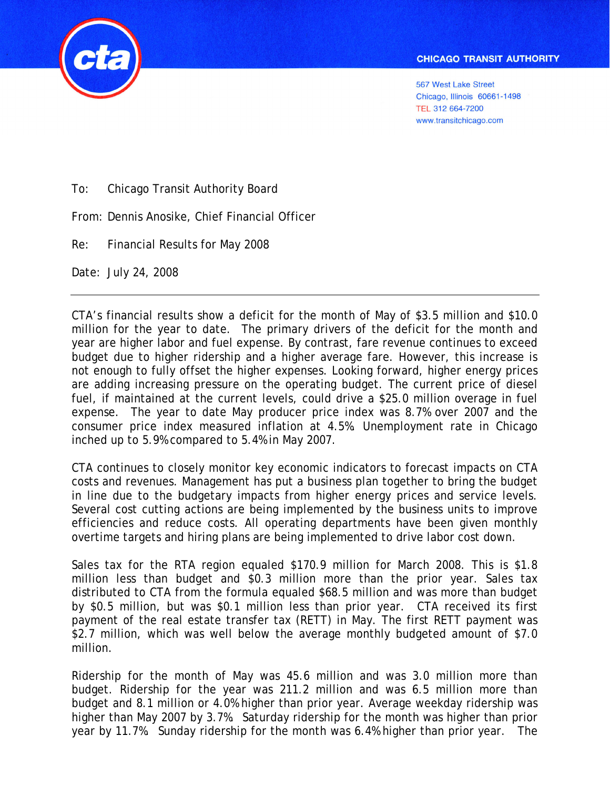

**567 West Lake Street** Chicago, Illinois 60661-1498 TEL 312 664-7200 www.transitchicago.com

To: Chicago Transit Authority Board

From: Dennis Anosike, Chief Financial Officer

Re: Financial Results for May 2008

Date: July 24, 2008

CTA's financial results show a deficit for the month of May of \$3.5 million and \$10.0 million for the year to date. The primary drivers of the deficit for the month and year are higher labor and fuel expense. By contrast, fare revenue continues to exceed budget due to higher ridership and a higher average fare. However, this increase is not enough to fully offset the higher expenses. Looking forward, higher energy prices are adding increasing pressure on the operating budget. The current price of diesel fuel, if maintained at the current levels, could drive a \$25.0 million overage in fuel expense. The year to date May producer price index was 8.7% over 2007 and the consumer price index measured inflation at 4.5%. Unemployment rate in Chicago inched up to 5.9% compared to 5.4% in May 2007.

CTA continues to closely monitor key economic indicators to forecast impacts on CTA costs and revenues. Management has put a business plan together to bring the budget in line due to the budgetary impacts from higher energy prices and service levels. Several cost cutting actions are being implemented by the business units to improve efficiencies and reduce costs. All operating departments have been given monthly overtime targets and hiring plans are being implemented to drive labor cost down.

Sales tax for the RTA region equaled \$170.9 million for March 2008. This is \$1.8 million less than budget and \$0.3 million more than the prior year. Sales tax distributed to CTA from the formula equaled \$68.5 million and was more than budget by \$0.5 million, but was \$0.1 million less than prior year. CTA received its first payment of the real estate transfer tax (RETT) in May. The first RETT payment was \$2.7 million, which was well below the average monthly budgeted amount of \$7.0 million.

Ridership for the month of May was 45.6 million and was 3.0 million more than budget. Ridership for the year was 211.2 million and was 6.5 million more than budget and 8.1 million or 4.0% higher than prior year. Average weekday ridership was higher than May 2007 by 3.7%. Saturday ridership for the month was higher than prior year by 11.7%. Sunday ridership for the month was 6.4% higher than prior year. The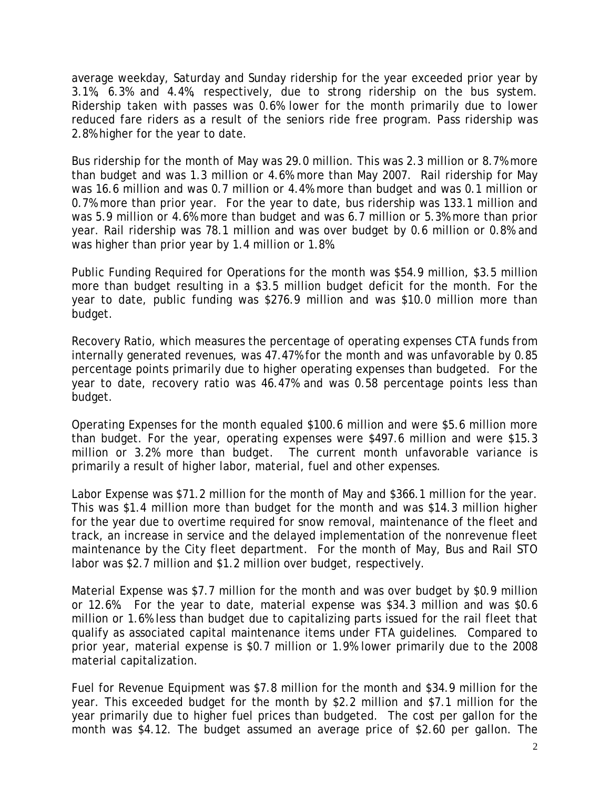average weekday, Saturday and Sunday ridership for the year exceeded prior year by 3.1%, 6.3% and 4.4%, respectively, due to strong ridership on the bus system. Ridership taken with passes was 0.6% lower for the month primarily due to lower reduced fare riders as a result of the seniors ride free program. Pass ridership was 2.8% higher for the year to date.

Bus ridership for the month of May was 29.0 million. This was 2.3 million or 8.7% more than budget and was 1.3 million or 4.6% more than May 2007. Rail ridership for May was 16.6 million and was 0.7 million or 4.4% more than budget and was 0.1 million or 0.7% more than prior year. For the year to date, bus ridership was 133.1 million and was 5.9 million or 4.6% more than budget and was 6.7 million or 5.3% more than prior year. Rail ridership was 78.1 million and was over budget by 0.6 million or 0.8% and was higher than prior year by 1.4 million or 1.8%.

Public Funding Required for Operations for the month was \$54.9 million, \$3.5 million more than budget resulting in a \$3.5 million budget deficit for the month. For the year to date, public funding was \$276.9 million and was \$10.0 million more than budget.

Recovery Ratio, which measures the percentage of operating expenses CTA funds from internally generated revenues, was 47.47% for the month and was unfavorable by 0.85 percentage points primarily due to higher operating expenses than budgeted. For the year to date, recovery ratio was 46.47% and was 0.58 percentage points less than budget.

Operating Expenses for the month equaled \$100.6 million and were \$5.6 million more than budget. For the year, operating expenses were \$497.6 million and were \$15.3 million or 3.2% more than budget. The current month unfavorable variance is primarily a result of higher labor, material, fuel and other expenses.

Labor Expense was \$71.2 million for the month of May and \$366.1 million for the year. This was \$1.4 million more than budget for the month and was \$14.3 million higher for the year due to overtime required for snow removal, maintenance of the fleet and track, an increase in service and the delayed implementation of the nonrevenue fleet maintenance by the City fleet department. For the month of May, Bus and Rail STO labor was \$2.7 million and \$1.2 million over budget, respectively.

Material Expense was \$7.7 million for the month and was over budget by \$0.9 million or 12.6%. For the year to date, material expense was \$34.3 million and was \$0.6 million or 1.6% less than budget due to capitalizing parts issued for the rail fleet that qualify as associated capital maintenance items under FTA guidelines. Compared to prior year, material expense is \$0.7 million or 1.9% lower primarily due to the 2008 material capitalization.

Fuel for Revenue Equipment was \$7.8 million for the month and \$34.9 million for the year. This exceeded budget for the month by \$2.2 million and \$7.1 million for the year primarily due to higher fuel prices than budgeted. The cost per gallon for the month was \$4.12. The budget assumed an average price of \$2.60 per gallon. The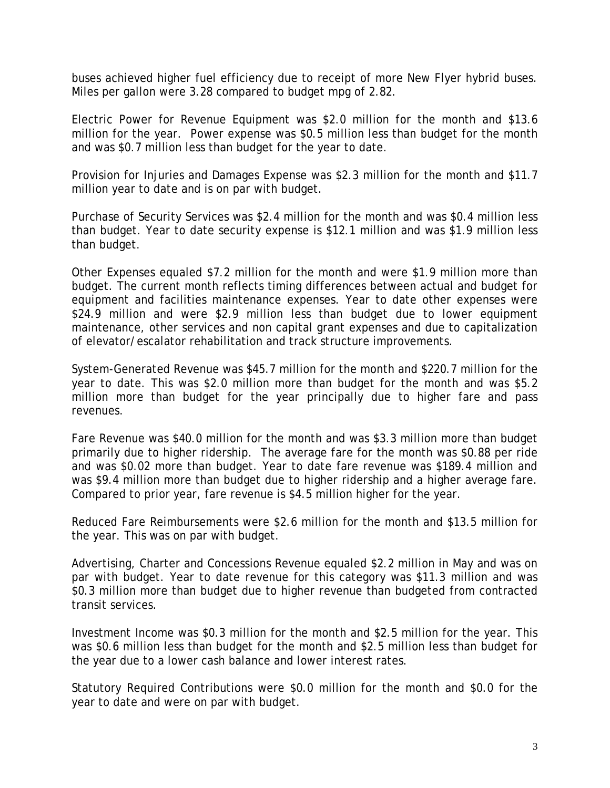buses achieved higher fuel efficiency due to receipt of more New Flyer hybrid buses. Miles per gallon were 3.28 compared to budget mpg of 2.82.

Electric Power for Revenue Equipment was \$2.0 million for the month and \$13.6 million for the year. Power expense was \$0.5 million less than budget for the month and was \$0.7 million less than budget for the year to date.

Provision for Injuries and Damages Expense was \$2.3 million for the month and \$11.7 million year to date and is on par with budget.

Purchase of Security Services was \$2.4 million for the month and was \$0.4 million less than budget. Year to date security expense is \$12.1 million and was \$1.9 million less than budget.

Other Expenses equaled \$7.2 million for the month and were \$1.9 million more than budget. The current month reflects timing differences between actual and budget for equipment and facilities maintenance expenses. Year to date other expenses were \$24.9 million and were \$2.9 million less than budget due to lower equipment maintenance, other services and non capital grant expenses and due to capitalization of elevator/escalator rehabilitation and track structure improvements.

System-Generated Revenue was \$45.7 million for the month and \$220.7 million for the year to date. This was \$2.0 million more than budget for the month and was \$5.2 million more than budget for the year principally due to higher fare and pass revenues.

Fare Revenue was \$40.0 million for the month and was \$3.3 million more than budget primarily due to higher ridership. The average fare for the month was \$0.88 per ride and was \$0.02 more than budget. Year to date fare revenue was \$189.4 million and was \$9.4 million more than budget due to higher ridership and a higher average fare. Compared to prior year, fare revenue is \$4.5 million higher for the year.

Reduced Fare Reimbursements were \$2.6 million for the month and \$13.5 million for the year. This was on par with budget.

Advertising, Charter and Concessions Revenue equaled \$2.2 million in May and was on par with budget. Year to date revenue for this category was \$11.3 million and was \$0.3 million more than budget due to higher revenue than budgeted from contracted transit services.

Investment Income was \$0.3 million for the month and \$2.5 million for the year. This was \$0.6 million less than budget for the month and \$2.5 million less than budget for the year due to a lower cash balance and lower interest rates.

Statutory Required Contributions were \$0.0 million for the month and \$0.0 for the year to date and were on par with budget.